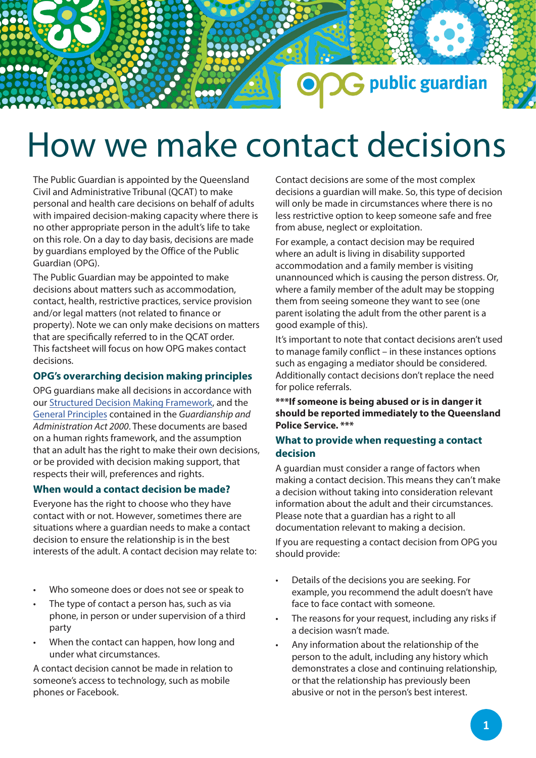# How we make contact decisions

The Public Guardian is appointed by the Queensland Civil and Administrative Tribunal (QCAT) to make personal and health care decisions on behalf of adults with impaired decision-making capacity where there is no other appropriate person in the adult's life to take on this role. On a day to day basis, decisions are made by guardians employed by the Office of the Public Guardian (OPG).

The Public Guardian may be appointed to make decisions about matters such as accommodation, contact, health, restrictive practices, service provision and/or legal matters (not related to finance or property). Note we can only make decisions on matters that are specifically referred to in the QCAT order. This factsheet will focus on how OPG makes contact decisions.

### **OPG's overarching decision making principles**

OPG guardians make all decisions in accordance with our Structured Decis[ion Making Framework, and t](https://www.publicguardian.qld.gov.au/__data/assets/pdf_file/0008/574721/Policy-Structured-Decision-Making-Framework.pdf)he [General Principles](https://www.publicguardian.qld.gov.au/__data/assets/pdf_file/0006/572352/OPG-Factsheet_General-Principles.pdf) contained in the *Guardianship and Administration Act 2000*. These documents are based on a human rights framework, and the assumption that an adult has the right to make their own decisions, or be provided with decision making support, that respects their will, preferences and rights.

## **When would a contact decision be made?**

Everyone has the right to choose who they have contact with or not. However, sometimes there are situations where a guardian needs to make a contact decision to ensure the relationship is in the best interests of the adult. A contact decision may relate to:

- Who someone does or does not see or speak to
- The type of contact a person has, such as via phone, in person or under supervision of a third party
- When the contact can happen, how long and under what circumstances.

A contact decision cannot be made in relation to someone's access to technology, such as mobile phones or Facebook.

Contact decisions are some of the most complex decisions a guardian will make. So, this type of decision will only be made in circumstances where there is no less restrictive option to keep someone safe and free from abuse, neglect or exploitation.

**G** public guardian

For example, a contact decision may be required where an adult is living in disability supported accommodation and a family member is visiting unannounced which is causing the person distress. Or, where a family member of the adult may be stopping them from seeing someone they want to see (one parent isolating the adult from the other parent is a good example of this).

It's important to note that contact decisions aren't used to manage family conflict – in these instances options such as engaging a mediator should be considered. Additionally contact decisions don't replace the need for police referrals.

**\*\*\*If someone is being abused or is in danger it should be reported immediately to the Queensland Police Service. \*\*\***

# **What to provide when requesting a contact decision**

A guardian must consider a range of factors when making a contact decision. This means they can't make a decision without taking into consideration relevant information about the adult and their circumstances. Please note that a guardian has a right to all documentation relevant to making a decision.

If you are requesting a contact decision from OPG you should provide:

- Details of the decisions you are seeking. For example, you recommend the adult doesn't have face to face contact with someone.
- The reasons for your request, including any risks if a decision wasn't made.
- Any information about the relationship of the person to the adult, including any history which demonstrates a close and continuing relationship, or that the relationship has previously been abusive or not in the person's best interest.